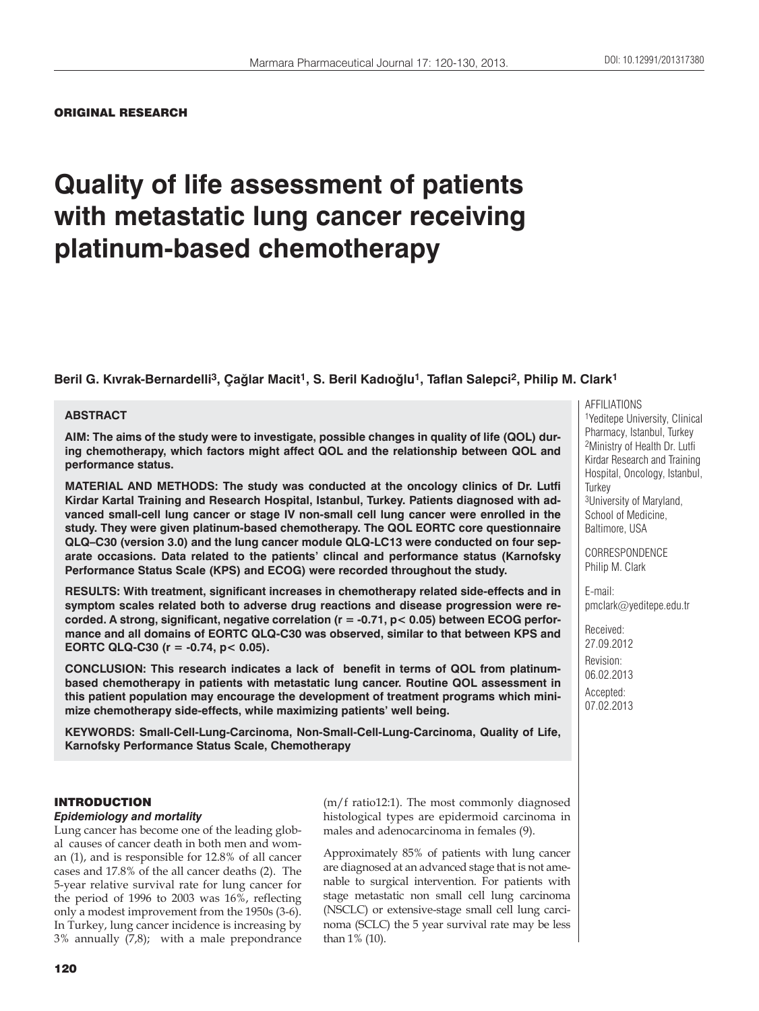ORIGINAL RESEARCH

# **Quality of life assessment of patients with metastatic lung cancer receiving platinum-based chemotherapy**

**Beril G. Kıvrak-Bernardelli3, Çağlar Macit1, S. Beril Kadıoğlu1, Taflan Salepci2, Philip M. Clark1**

#### **ABSTRACT**

**AIM: The aims of the study were to investigate, possible changes in quality of life (QOL) during chemotherapy, which factors might affect QOL and the relationship between QOL and performance status.**

**MATERIAL AND METHODS: The study was conducted at the oncology clinics of Dr. Lutfi Kirdar Kartal Training and Research Hospital, Istanbul, Turkey. Patients diagnosed with advanced small-cell lung cancer or stage IV non-small cell lung cancer were enrolled in the study. They were given platinum-based chemotherapy. The QOL EORTC core questionnaire QLQ–C30 (version 3.0) and the lung cancer module QLQ-LC13 were conducted on four separate occasions. Data related to the patients' clincal and performance status (Karnofsky Performance Status Scale (KPS) and ECOG) were recorded throughout the study.** 

**RESULTS: With treatment, significant increases in chemotherapy related side-effects and in symptom scales related both to adverse drug reactions and disease progression were recorded. A strong, significant, negative correlation (r = -0.71, p< 0.05) between ECOG performance and all domains of EORTC QLQ-C30 was observed, similar to that between KPS and EORTC QLQ-C30 (r = -0.74, p< 0.05).** 

**CONCLUSION: This research indicates a lack of benefit in terms of QOL from platinumbased chemotherapy in patients with metastatic lung cancer. Routine QOL assessment in this patient population may encourage the development of treatment programs which minimize chemotherapy side-effects, while maximizing patients' well being.**

**KEYWORDS: Small-Cell-Lung-Carcinoma, Non-Small-Cell-Lung-Carcinoma, Quality of Life, Karnofsky Performance Status Scale, Chemotherapy**

# INTRODUCTION

#### *Epidemiology and mortality*

Lung cancer has become one of the leading global causes of cancer death in both men and woman (1), and is responsible for 12.8% of all cancer cases and 17.8% of the all cancer deaths (2). The 5-year relative survival rate for lung cancer for the period of 1996 to 2003 was 16%, reflecting only a modest improvement from the 1950s (3-6). In Turkey, lung cancer incidence is increasing by 3% annually (7,8); with a male prepondrance

(m/f ratio12:1). The most commonly diagnosed histological types are epidermoid carcinoma in males and adenocarcinoma in females (9).

Approximately 85% of patients with lung cancer are diagnosed at an advanced stage that is not amenable to surgical intervention. For patients with stage metastatic non small cell lung carcinoma (NSCLC) or extensive-stage small cell lung carcinoma (SCLC) the 5 year survival rate may be less than 1% (10).

AFFILIATIONS 1Yeditepe University, Clinical Pharmacy, Istanbul, Turkey 2Ministry of Health Dr. Lutfi Kirdar Research and Training Hospital, Oncology, Istanbul, **Turkey** 3University of Maryland, School of Medicine, Baltimore, USA

**CORRESPONDENCE** Philip M. Clark

E-mail: pmclark@yeditepe.edu.tr

Received: 27.09.2012 Revision: 06.02.2013 Accepted: 07.02.2013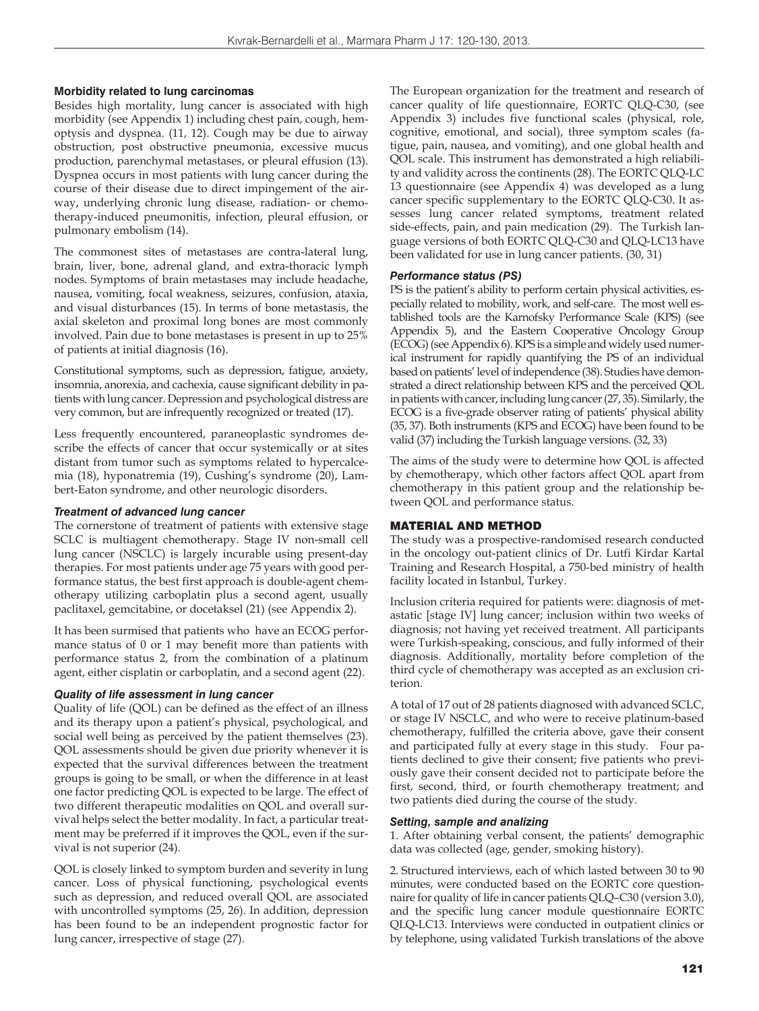#### **Morbidity related to lung carcinomas**

Besides high mortality, lung cancer is associated with high morbidity (see Appendix 1) including chest pain, cough, hemoptysis and dyspnea. (11, 12). Cough may be due to airway obstruction, post obstructive pneumonia, excessive mucus production, parenchymal metastases, or pleural effusion (13). Dyspnea occurs in most patients with lung cancer during the course of their disease due to direct impingement of the airway, underlying chronic lung disease, radiation- or chemotherapy-induced pneumonitis, infection, pleural effusion, or pulmonary embolism (14).

The commonest sites of metastases are contra-lateral lung, brain, liver, bone, adrenal gland, and extra-thoracic lymph nodes. Symptoms of brain metastases may include headache, nausea, vomiting, focal weakness, seizures, confusion, ataxia, and visual disturbances (15). In terms of bone metastasis, the axial skeleton and proximal long bones are most commonly involved. Pain due to bone metastases is present in up to 25% of patients at initial diagnosis (16).

Constitutional symptoms, such as depression, fatigue, anxiety, insomnia, anorexia, and cachexia, cause significant debility in patients with lung cancer. Depression and psychological distress are very common, but are infrequently recognized or treated (17).

Less frequently encountered, paraneoplastic syndromes describe the effects of cancer that occur systemically or at sites distant from tumor such as symptoms related to hypercalcemia (18), hyponatremia (19), Cushing's syndrome (20), Lambert-Eaton syndrome, and other neurologic disorders.

#### *Treatment of advanced lung cancer*

The cornerstone of treatment of patients with extensive stage SCLC is multiagent chemotherapy. Stage IV non-small cell lung cancer (NSCLC) is largely incurable using present-day therapies. For most patients under age 75 years with good performance status, the best first approach is double-agent chemotherapy utilizing carboplatin plus a second agent, usually paclitaxel, gemcitabine, or docetaksel (21) (see Appendix 2).

It has been surmised that patients who have an ECOG performance status of 0 or 1 may benefit more than patients with performance status 2, from the combination of a platinum agent, either cisplatin or carboplatin, and a second agent (22).

## *Quality of life assessment in lung cancer*

Quality of life (QOL) can be defined as the effect of an illness and its therapy upon a patient's physical, psychological, and social well being as perceived by the patient themselves (23). QOL assessments should be given due priority whenever it is expected that the survival differences between the treatment groups is going to be small, or when the difference in at least one factor predicting QOL is expected to be large. The effect of two different therapeutic modalities on QOL and overall survival helps select the better modality. In fact, a particular treatment may be preferred if it improves the QOL, even if the survival is not superior (24).

QOL is closely linked to symptom burden and severity in lung cancer. Loss of physical functioning, psychological events such as depression, and reduced overall QOL are associated with uncontrolled symptoms (25, 26). In addition, depression has been found to be an independent prognostic factor for lung cancer, irrespective of stage (27).

The European organization for the treatment and research of cancer quality of life questionnaire, EORTC QLQ-C30, (see Appendix 3) includes five functional scales (physical, role, cognitive, emotional, and social), three symptom scales (fatigue, pain, nausea, and vomiting), and one global health and QOL scale. This instrument has demonstrated a high reliability and validity across the continents (28). The EORTC QLQ-LC 13 questionnaire (see Appendix 4) was developed as a lung cancer specific supplementary to the EORTC QLQ-C30. It assesses lung cancer related symptoms, treatment related side-effects, pain, and pain medication (29). The Turkish language versions of both EORTC QLQ-C30 and QLQ-LC13 have been validated for use in lung cancer patients. (30, 31)

#### *Performance status (PS)*

PS is the patient's ability to perform certain physical activities, especially related to mobility, work, and self-care. The most well established tools are the Karnofsky Performance Scale (KPS) (see Appendix 5), and the Eastern Cooperative Oncology Group (ECOG) (see Appendix 6). KPS is a simple and widely used numerical instrument for rapidly quantifying the PS of an individual based on patients' level of independence (38). Studies have demonstrated a direct relationship between KPS and the perceived QOL in patients with cancer, including lung cancer (27, 35). Similarly, the ECOG is a five-grade observer rating of patients' physical ability (35, 37). Both instruments (KPS and ECOG) have been found to be valid (37) including the Turkish language versions. (32, 33)

The aims of the study were to determine how QOL is affected by chemotherapy, which other factors affect QOL apart from chemotherapy in this patient group and the relationship between QOL and performance status.

## MATERIAL AND METHOD

The study was a prospective-randomised research conducted in the oncology out-patient clinics of Dr. Lutfi Kirdar Kartal Training and Research Hospital, a 750-bed ministry of health facility located in Istanbul, Turkey.

Inclusion criteria required for patients were: diagnosis of metastatic [stage IV] lung cancer; inclusion within two weeks of diagnosis; not having yet received treatment. All participants were Turkish-speaking, conscious, and fully informed of their diagnosis. Additionally, mortality before completion of the third cycle of chemotherapy was accepted as an exclusion criterion.

A total of 17 out of 28 patients diagnosed with advanced SCLC, or stage IV NSCLC, and who were to receive platinum-based chemotherapy, fulfilled the criteria above, gave their consent and participated fully at every stage in this study. Four patients declined to give their consent; five patients who previously gave their consent decided not to participate before the first, second, third, or fourth chemotherapy treatment; and two patients died during the course of the study.

#### *Setting, sample and analizing*

1. After obtaining verbal consent, the patients' demographic data was collected (age, gender, smoking history).

2. Structured interviews, each of which lasted between 30 to 90 minutes, were conducted based on the EORTC core questionnaire for quality of life in cancer patients QLQ–C30 (version 3.0), and the specific lung cancer module questionnaire EORTC QLQ-LC13. Interviews were conducted in outpatient clinics or by telephone, using validated Turkish translations of the above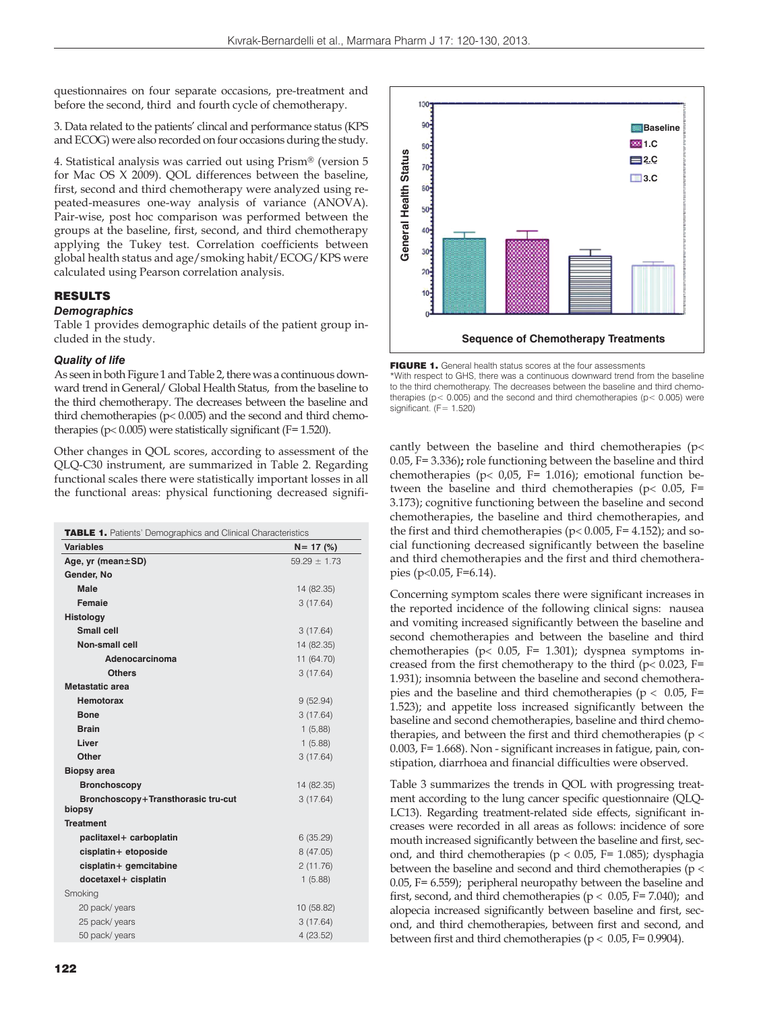questionnaires on four separate occasions, pre-treatment and before the second, third and fourth cycle of chemotherapy.

3. Data related to the patients' clincal and performance status (KPS and ECOG) were also recorded on four occasions during the study.

4. Statistical analysis was carried out using Prism® (version 5 for Mac OS X 2009). QOL differences between the baseline, first, second and third chemotherapy were analyzed using repeated-measures one-way analysis of variance (ANOVA). Pair-wise, post hoc comparison was performed between the groups at the baseline, first, second, and third chemotherapy applying the Tukey test. Correlation coefficients between global health status and age/smoking habit/ECOG/KPS were calculated using Pearson correlation analysis.

# RESULTS

# *Demographics*

Table 1 provides demographic details of the patient group included in the study.

#### *Quality of life*

As seen in both Figure 1 and Table 2, there was a continuous downward trend in General/ Global Health Status, from the baseline to the third chemotherapy. The decreases between the baseline and third chemotherapies ( $p < 0.005$ ) and the second and third chemotherapies ( $p < 0.005$ ) were statistically significant ( $F = 1.520$ ).

Other changes in QOL scores, according to assessment of the QLQ-C30 instrument, are summarized in Table 2. Regarding functional scales there were statistically important losses in all the functional areas: physical functioning decreased signifi-

| <b>TABLE 1.</b> Patients' Demographics and Clinical Characteristics |                  |  |  |  |  |
|---------------------------------------------------------------------|------------------|--|--|--|--|
| Variables                                                           | $N = 17(%)$      |  |  |  |  |
| Age, yr (mean±SD)                                                   | $59.29 \pm 1.73$ |  |  |  |  |
| Gender, No                                                          |                  |  |  |  |  |
| Male                                                                | 14 (82.35)       |  |  |  |  |
| <b>Femaie</b>                                                       | 3(17.64)         |  |  |  |  |
| Histology                                                           |                  |  |  |  |  |
| Small cell                                                          | 3(17.64)         |  |  |  |  |
| <b>Non-small cell</b>                                               | 14 (82.35)       |  |  |  |  |
| Adenocarcinoma                                                      | 11 (64.70)       |  |  |  |  |
| Others                                                              | 3(17.64)         |  |  |  |  |
| Metastatic area                                                     |                  |  |  |  |  |
| Hemotorax                                                           | 9(52.94)         |  |  |  |  |
| <b>Bone</b>                                                         | 3(17.64)         |  |  |  |  |
| <b>Brain</b>                                                        | 1(5,88)          |  |  |  |  |
| Liver                                                               | 1(5.88)          |  |  |  |  |
| Other                                                               | 3(17.64)         |  |  |  |  |
| <b>Biopsy area</b>                                                  |                  |  |  |  |  |
| <b>Bronchoscopy</b>                                                 | 14 (82.35)       |  |  |  |  |
| Bronchoscopy+Transthorasic tru-cut                                  | 3(17.64)         |  |  |  |  |
| biopsy                                                              |                  |  |  |  |  |
| <b>Treatment</b>                                                    |                  |  |  |  |  |
| paclitaxel+ carboplatin                                             | 6(35.29)         |  |  |  |  |
| cisplatin+ etoposide                                                | 8 (47.05)        |  |  |  |  |
| cisplatin+ gemcitabine                                              | 2(11.76)         |  |  |  |  |
| docetaxel+ cisplatin                                                | 1(5.88)          |  |  |  |  |
| Smoking                                                             |                  |  |  |  |  |
| 20 pack/years                                                       | 10 (58.82)       |  |  |  |  |
| 25 pack/years                                                       | 3(17.64)         |  |  |  |  |
| 50 pack/ years                                                      | 4(23.52)         |  |  |  |  |



\*With respect to GHS, there was a continuous downward trend from the baseline to the third chemotherapy. The decreases between the baseline and third chemotherapies ( $p$  < 0.005) and the second and third chemotherapies ( $p$  < 0.005) were significant.  $(F= 1.520)$ 

cantly between the baseline and third chemotherapies (p 0.05, F= 3.336)**;** role functioning between the baseline and third chemotherapies ( $p < 0.05$ , F= 1.016); emotional function between the baseline and third chemotherapies ( $p$ < 0.05, F= 3.173); cognitive functioning between the baseline and second chemotherapies, the baseline and third chemotherapies, and the first and third chemotherapies ( $p < 0.005$ , F= 4.152); and social functioning decreased significantly between the baseline and third chemotherapies and the first and third chemotherapies (p< $0.05$ , F= $6.14$ ).

Concerning symptom scales there were significant increases in the reported incidence of the following clinical signs: nausea and vomiting increased significantly between the baseline and second chemotherapies and between the baseline and third chemotherapies (p< 0.05, F= 1.301); dyspnea symptoms increased from the first chemotherapy to the third ( $p < 0.023$ , F= 1.931); insomnia between the baseline and second chemotherapies and the baseline and third chemotherapies ( $p < 0.05$ , F= 1.523); and appetite loss increased significantly between the baseline and second chemotherapies, baseline and third chemotherapies, and between the first and third chemotherapies ( $p <$ 0.003, F= 1.668). Non - significant increases in fatigue, pain, constipation, diarrhoea and financial difficulties were observed.

Table 3 summarizes the trends in QOL with progressing treatment according to the lung cancer specific questionnaire (QLQ-LC13). Regarding treatment-related side effects, significant increases were recorded in all areas as follows: incidence of sore mouth increased significantly between the baseline and first, second, and third chemotherapies ( $p < 0.05$ , F= 1.085); dysphagia between the baseline and second and third chemotherapies (p < 0.05, F= 6.559); peripheral neuropathy between the baseline and first, second, and third chemotherapies ( $p < 0.05$ , F= 7.040); and alopecia increased significantly between baseline and first, second, and third chemotherapies, between first and second, and between first and third chemotherapies ( $p < 0.05$ , F= 0.9904).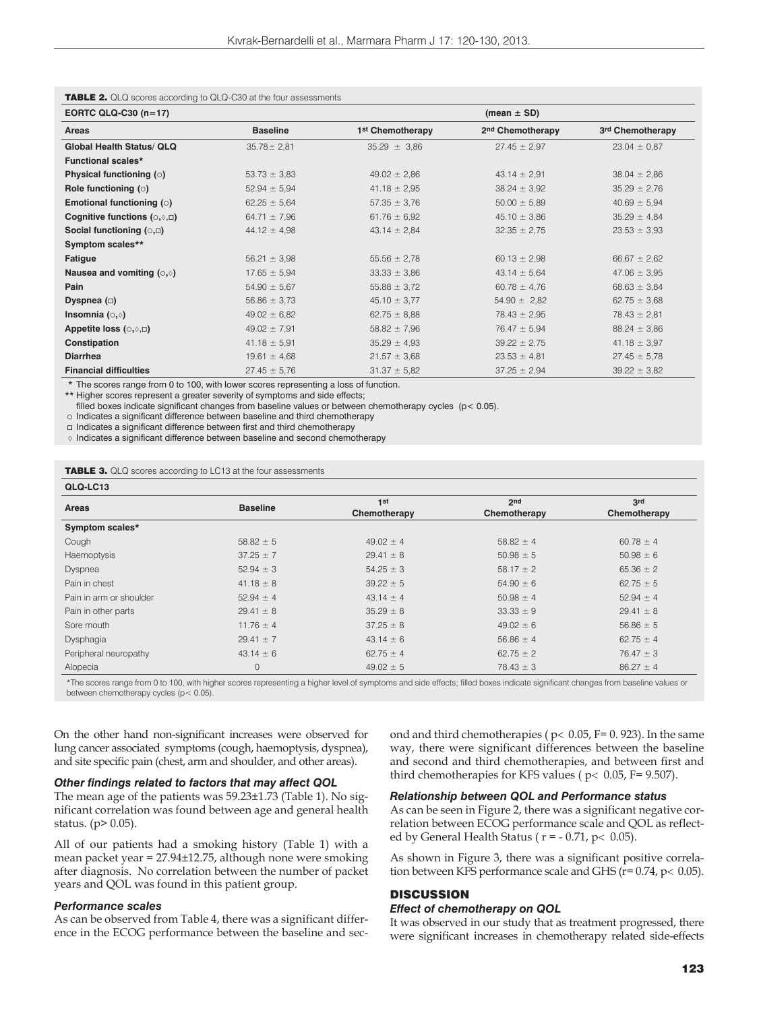| EORTC QLQ-C30 (n=17)                        |                  | (mean $\pm$ SD)              |                              |                  |  |  |  |  |
|---------------------------------------------|------------------|------------------------------|------------------------------|------------------|--|--|--|--|
| Areas                                       | <b>Baseline</b>  | 1 <sup>st</sup> Chemotherapy | 2 <sup>nd</sup> Chemotherapy | 3rd Chemotherapy |  |  |  |  |
| <b>Global Health Status/ QLQ</b>            | $35.78 \pm 2.81$ | $35.29 \pm 3.86$             | $27.45 \pm 2.97$             | $23.04 \pm 0.87$ |  |  |  |  |
| <b>Functional scales*</b>                   |                  |                              |                              |                  |  |  |  |  |
| Physical functioning (o)                    | $53.73 \pm 3.83$ | $49.02 \pm 2.86$             | $43.14 \pm 2.91$             | $38.04 \pm 2.86$ |  |  |  |  |
| Role functioning $( \circ )$                | $52.94 \pm 5.94$ | $41.18 \pm 2.95$             | $38.24 \pm 3.92$             | $35.29 \pm 2.76$ |  |  |  |  |
| Emotional functioning (o)                   | $62.25 \pm 5.64$ | $57.35 \pm 3.76$             | $50.00 \pm 5.89$             | $40.69 \pm 5.94$ |  |  |  |  |
| Cognitive functions $( \circ, \circ, \Box)$ | $64.71 \pm 7.96$ | $61.76 \pm 6.92$             | $45.10 \pm 3.86$             | $35.29 \pm 4.84$ |  |  |  |  |
| Social functioning $(0, \Box)$              | $44.12 \pm 4.98$ | $43.14 \pm 2.84$             | $32.35 \pm 2.75$             | $23.53 \pm 3.93$ |  |  |  |  |
| Symptom scales**                            |                  |                              |                              |                  |  |  |  |  |
| Fatigue                                     | $56.21 \pm 3.98$ | $55.56 \pm 2.78$             | $60.13 \pm 2.98$             | $66.67 \pm 2.62$ |  |  |  |  |
| Nausea and vomiting $(0,0)$                 | $17.65 \pm 5.94$ | $33.33 \pm 3.86$             | $43.14 \pm 5.64$             | $47.06 \pm 3.95$ |  |  |  |  |
| Pain                                        | $54.90 \pm 5.67$ | $55.88 \pm 3.72$             | $60.78 \pm 4.76$             | $68.63 \pm 3.84$ |  |  |  |  |
| Dyspnea $(\Box)$                            | $56.86 \pm 3.73$ | $45.10 \pm 3.77$             | $54.90 \pm 2.82$             | $62.75 \pm 3.68$ |  |  |  |  |
| Insomnia $(0,0)$                            | $49.02 \pm 6.82$ | $62.75 \pm 8.88$             | $78.43 \pm 2.95$             | $78.43 \pm 2.81$ |  |  |  |  |
| Appetite loss $(\circ, \circ, \Box)$        | $49.02 \pm 7.91$ | $58.82 \pm 7.96$             | $76.47 \pm 5.94$             | $88.24 \pm 3.86$ |  |  |  |  |
| Constipation                                | $41.18 \pm 5.91$ | $35.29 \pm 4.93$             | $39.22 \pm 2.75$             | $41.18 \pm 3.97$ |  |  |  |  |
| <b>Diarrhea</b>                             | $19.61 \pm 4.68$ | $21.57 \pm 3.68$             | $23.53 \pm 4.81$             | $27.45 \pm 5.78$ |  |  |  |  |
| <b>Financial difficulties</b>               | $27.45 \pm 5.76$ | $31.37 \pm 5.82$             | $37.25 \pm 2.94$             | $39.22 \pm 3.82$ |  |  |  |  |

#### TABLE 2. QLQ scores according to QLQ-C30 at the four assessments

 $\alpha$  from 0 to 100, with lowe

\*\* Higher scores represent a greater severity of symptoms and side effects;

filled boxes indicate significant changes from baseline values or between chemotherapy cycles (p< 0.05).

o Indicates a significant difference between baseline and third chemotherapy

Indicates a significant difference between first and third chemotherapy

 $\Diamond$  Indicates a significant difference between baseline and second chemotherapy

TABLE 3. QLQ scores according to LC13 at the four assessments

| QLQ-LC13                |                 |               |                 |               |
|-------------------------|-----------------|---------------|-----------------|---------------|
|                         |                 | 1st           | 2 <sub>nd</sub> | 3rd           |
| Areas                   | <b>Baseline</b> | Chemotherapy  | Chemotherapy    | Chemotherapy  |
| Symptom scales*         |                 |               |                 |               |
| Cough                   | $58.82 \pm 5$   | $49.02 \pm 4$ | $58.82 \pm 4$   | $60.78 \pm 4$ |
| Haemoptysis             | $37.25 \pm 7$   | $29.41 \pm 8$ | $50.98 \pm 5$   | $50.98 \pm 6$ |
| Dyspnea                 | $52.94 \pm 3$   | $54.25 \pm 3$ | $58.17 \pm 2$   | $65.36 \pm 2$ |
| Pain in chest           | $41.18 \pm 8$   | $39.22 \pm 5$ | $54.90 \pm 6$   | $62.75 \pm 5$ |
| Pain in arm or shoulder | $52.94 \pm 4$   | $43.14 \pm 4$ | $50.98 \pm 4$   | $52.94 \pm 4$ |
| Pain in other parts     | $29.41 \pm 8$   | $35.29 \pm 8$ | $33.33 \pm 9$   | $29.41 \pm 8$ |
| Sore mouth              | $11.76 \pm 4$   | $37.25 \pm 8$ | $49.02 \pm 6$   | $56.86 \pm 5$ |
| Dysphagia               | $29.41 \pm 7$   | $43.14 \pm 6$ | $56.86 \pm 4$   | $62.75 \pm 4$ |
| Peripheral neuropathy   | $43.14 \pm 6$   | $62.75 \pm 4$ | $62.75 \pm 2$   | $76.47 \pm 3$ |
| Alopecia                | 0               | $49.02 \pm 5$ | $78.43 \pm 3$   | $86.27 \pm 4$ |

\*The scores range from 0 to 100, with higher scores representing a higher level of symptoms and side effects; filled boxes indicate significant changes from baseline values or between chemotherapy cycles (p < 0.05)

On the other hand non-significant increases were observed for lung cancer associated symptoms (cough, haemoptysis, dyspnea), and site specific pain (chest, arm and shoulder, and other areas).

# *Other findings related to factors that may affect QOL*

The mean age of the patients was 59.23±1.73 (Table 1). No significant correlation was found between age and general health status. (p> 0.05).

All of our patients had a smoking history (Table 1) with a mean packet year = 27.94±12.75, although none were smoking after diagnosis. No correlation between the number of packet years and QOL was found in this patient group.

#### *Performance scales*

As can be observed from Table 4, there was a significant difference in the ECOG performance between the baseline and second and third chemotherapies ( $p$  < 0.05, F= 0. 923). In the same way, there were significant differences between the baseline and second and third chemotherapies, and between first and third chemotherapies for KFS values ( $p < 0.05$ , F= 9.507).

#### *Relationship between QOL and Performance status*

As can be seen in Figure 2, there was a significant negative correlation between ECOG performance scale and QOL as reflected by General Health Status ( $r = -0.71$ ,  $p < 0.05$ ).

As shown in Figure 3, there was a significant positive correlation between KFS performance scale and GHS ( $r = 0.74$ ,  $p < 0.05$ ).

# **DISCUSSION**

#### *Effect of chemotherapy on QOL*

It was observed in our study that as treatment progressed, there were significant increases in chemotherapy related side-effects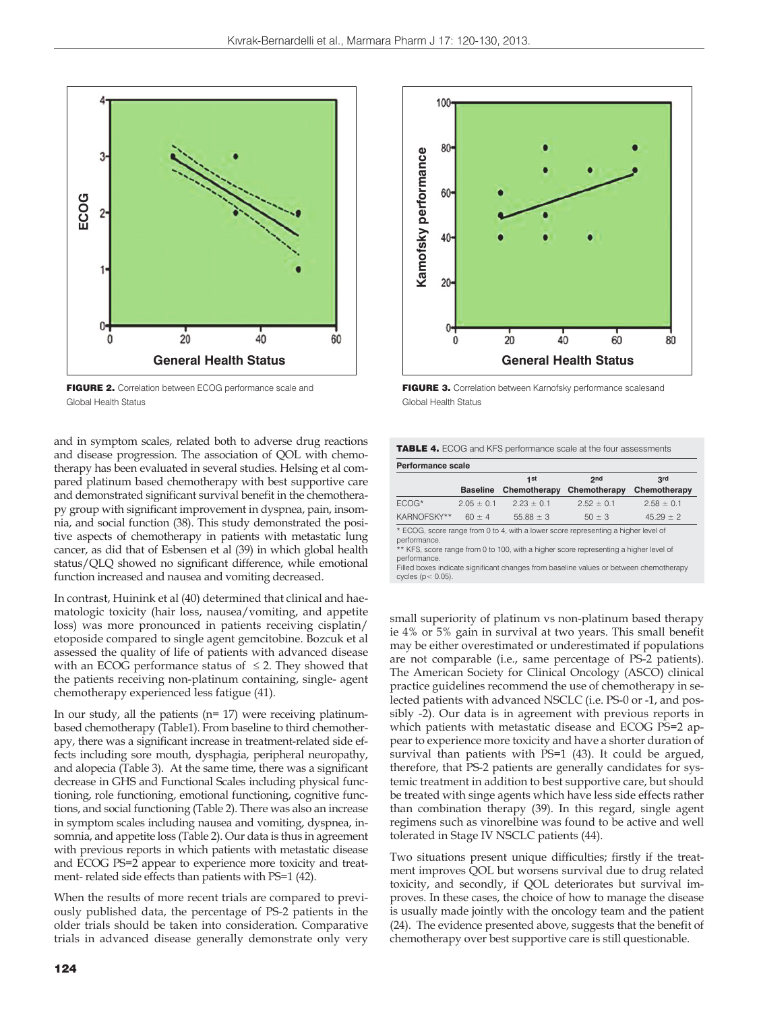

FIGURE 2. Correlation between ECOG performance scale and Global Health Status

and in symptom scales, related both to adverse drug reactions and disease progression. The association of QOL with chemotherapy has been evaluated in several studies. Helsing et al compared platinum based chemotherapy with best supportive care and demonstrated significant survival benefit in the chemotherapy group with significant improvement in dyspnea, pain, insomnia, and social function (38). This study demonstrated the positive aspects of chemotherapy in patients with metastatic lung cancer, as did that of Esbensen et al (39) in which global health status/QLQ showed no significant difference, while emotional function increased and nausea and vomiting decreased.

In contrast, Huinink et al (40) determined that clinical and haematologic toxicity (hair loss, nausea/vomiting, and appetite loss) was more pronounced in patients receiving cisplatin/ etoposide compared to single agent gemcitobine. Bozcuk et al assessed the quality of life of patients with advanced disease with an ECOG performance status of  $\leq$  2. They showed that the patients receiving non-platinum containing, single- agent chemotherapy experienced less fatigue (41).

In our study, all the patients (n= 17) were receiving platinumbased chemotherapy (Table1). From baseline to third chemotherapy, there was a significant increase in treatment-related side effects including sore mouth, dysphagia, peripheral neuropathy, and alopecia (Table 3). At the same time, there was a significant decrease in GHS and Functional Scales including physical functioning, role functioning, emotional functioning, cognitive functions, and social functioning (Table 2). There was also an increase in symptom scales including nausea and vomiting, dyspnea, insomnia, and appetite loss (Table 2). Our data is thus in agreement with previous reports in which patients with metastatic disease and ECOG PS=2 appear to experience more toxicity and treatment- related side effects than patients with PS=1 (42).

When the results of more recent trials are compared to previously published data, the percentage of PS-2 patients in the older trials should be taken into consideration. Comparative trials in advanced disease generally demonstrate only very



FIGURE 3. Correlation between Karnofsky performance scalesand Global Health Status

TABLE 4. ECOG and KFS performance scale at the four assessments

|             |                 | 1st            | 2nd            | 3rd            |
|-------------|-----------------|----------------|----------------|----------------|
|             | <b>Baseline</b> | Chemotherapy   | Chemotherapy   | Chemotherapy   |
| FCOG*       | $2.05 \pm 0.1$  | $2.23 \pm 0.1$ | $2.52 \pm 0.1$ | $2.58 \pm 0.1$ |
| KARNOFSKY** | $60 \pm 4$      | $55.88 \pm 3$  | $50 \pm 3$     | $45.29 \pm 2$  |

performance.

Filled boxes indicate significant changes from baseline values or between chemotherapy cycles ( $p < 0.05$ )

small superiority of platinum vs non-platinum based therapy ie 4% or 5% gain in survival at two years. This small benefit may be either overestimated or underestimated if populations are not comparable (i.e., same percentage of PS-2 patients). The American Society for Clinical Oncology (ASCO) clinical practice guidelines recommend the use of chemotherapy in selected patients with advanced NSCLC (i.e. PS-0 or -1, and possibly -2). Our data is in agreement with previous reports in which patients with metastatic disease and ECOG PS=2 appear to experience more toxicity and have a shorter duration of survival than patients with PS=1 (43). It could be argued, therefore, that PS-2 patients are generally candidates for systemic treatment in addition to best supportive care, but should be treated with singe agents which have less side effects rather than combination therapy (39). In this regard, single agent regimens such as vinorelbine was found to be active and well tolerated in Stage IV NSCLC patients (44).

Two situations present unique difficulties; firstly if the treatment improves QOL but worsens survival due to drug related toxicity, and secondly, if QOL deteriorates but survival improves. In these cases, the choice of how to manage the disease is usually made jointly with the oncology team and the patient (24). The evidence presented above, suggests that the benefit of chemotherapy over best supportive care is still questionable.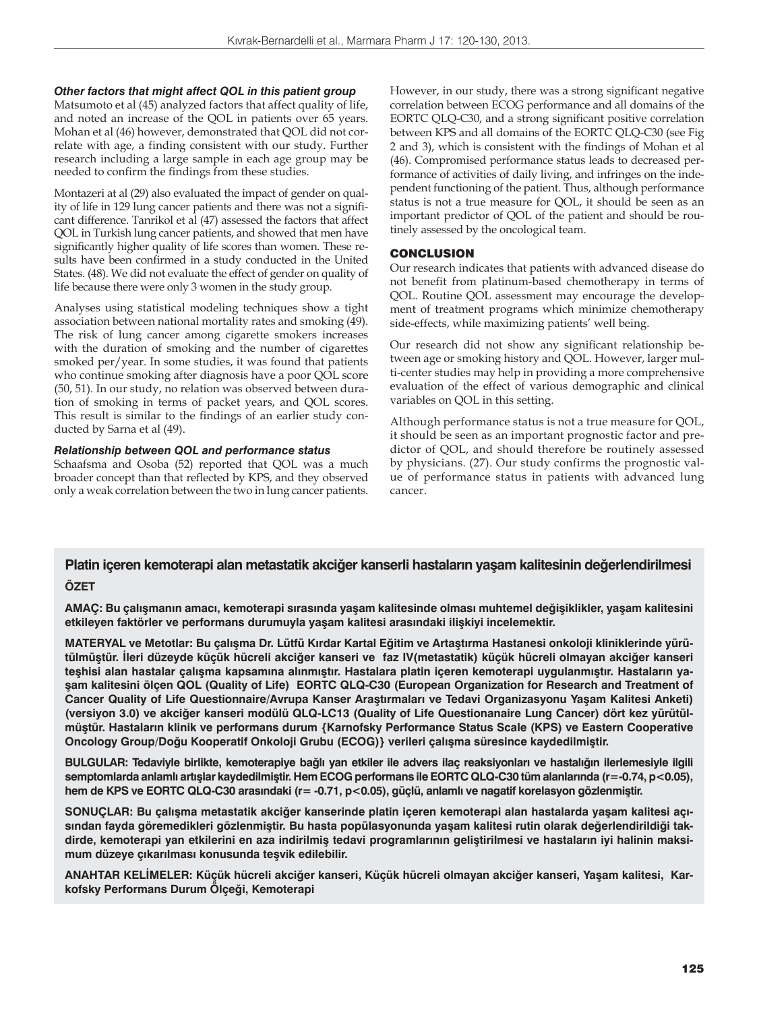#### *Other factors that might affect QOL in this patient group*

Matsumoto et al (45) analyzed factors that affect quality of life, and noted an increase of the QOL in patients over 65 years. Mohan et al (46) however, demonstrated that QOL did not correlate with age, a finding consistent with our study. Further research including a large sample in each age group may be needed to confirm the findings from these studies.

Montazeri at al (29) also evaluated the impact of gender on quality of life in 129 lung cancer patients and there was not a significant difference. Tanrikol et al (47) assessed the factors that affect QOL in Turkish lung cancer patients, and showed that men have significantly higher quality of life scores than women. These results have been confirmed in a study conducted in the United States. (48). We did not evaluate the effect of gender on quality of life because there were only 3 women in the study group.

Analyses using statistical modeling techniques show a tight association between national mortality rates and smoking (49). The risk of lung cancer among cigarette smokers increases with the duration of smoking and the number of cigarettes smoked per/year. In some studies, it was found that patients who continue smoking after diagnosis have a poor QOL score (50, 51). In our study, no relation was observed between duration of smoking in terms of packet years, and QOL scores. This result is similar to the findings of an earlier study conducted by Sarna et al (49).

## *Relationship between QOL and performance status*

Schaafsma and Osoba (52) reported that QOL was a much broader concept than that reflected by KPS, and they observed only a weak correlation between the two in lung cancer patients. However, in our study, there was a strong significant negative correlation between ECOG performance and all domains of the EORTC QLQ-C30, and a strong significant positive correlation between KPS and all domains of the EORTC QLQ-C30 (see Fig 2 and 3), which is consistent with the findings of Mohan et al (46). Compromised performance status leads to decreased performance of activities of daily living, and infringes on the independent functioning of the patient. Thus, although performance status is not a true measure for QOL, it should be seen as an important predictor of QOL of the patient and should be routinely assessed by the oncological team.

# **CONCLUSION**

Our research indicates that patients with advanced disease do not benefit from platinum-based chemotherapy in terms of QOL. Routine QOL assessment may encourage the development of treatment programs which minimize chemotherapy side-effects, while maximizing patients' well being.

Our research did not show any significant relationship between age or smoking history and QOL. However, larger multi-center studies may help in providing a more comprehensive evaluation of the effect of various demographic and clinical variables on QOL in this setting.

Although performance status is not a true measure for QOL, it should be seen as an important prognostic factor and predictor of QOL, and should therefore be routinely assessed by physicians. (27). Our study confirms the prognostic value of performance status in patients with advanced lung cancer.

# **Platin içeren kemoterapi alan metastatik akciğer kanserli hastaların yaşam kalitesinin değerlendirilmesi**

# **ÖZET**

**AMAÇ: Bu çalışmanın amacı, kemoterapi sırasında yaşam kalitesinde olması muhtemel değişiklikler, yaşam kalitesini etkileyen faktörler ve performans durumuyla yaşam kalitesi arasındaki ilişkiyi incelemektir.**

**MATERYAL ve Metotlar: Bu çalışma Dr. Lütfü Kırdar Kartal Eğitim ve Artaştırma Hastanesi onkoloji kliniklerinde yürütülmüştür. İleri düzeyde küçük hücreli akciğer kanseri ve faz IV(metastatik) küçük hücreli olmayan akciğer kanseri teşhisi alan hastalar çalışma kapsamına alınmıştır. Hastalara platin içeren kemoterapi uygulanmıştır. Hastaların yaşam kalitesini ölçen QOL (Quality of Life) EORTC QLQ-C30 (European Organization for Research and Treatment of Cancer Quality of Life Questionnaire/Avrupa Kanser Araştırmaları ve Tedavi Organizasyonu Yaşam Kalitesi Anketi) (versiyon 3.0) ve akciğer kanseri modülü QLQ-LC13 (Quality of Life Questionanaire Lung Cancer) dört kez yürütülmüştür. Hastaların klinik ve performans durum {Karnofsky Performance Status Scale (KPS) ve Eastern Cooperative Oncology Group/Doğu Kooperatif Onkoloji Grubu (ECOG)} verileri çalışma süresince kaydedilmiştir.**

**BULGULAR: Tedaviyle birlikte, kemoterapiye bağlı yan etkiler ile advers ilaç reaksiyonları ve hastalığın ilerlemesiyle ilgili semptomlarda anlamlı artışlar kaydedilmiştir. Hem ECOG performans ile EORTC QLQ-C30 tüm alanlarında (r=-0.74, p<0.05), hem de KPS ve EORTC QLQ-C30 arasındaki (r= -0.71, p<0.05), güçlü, anlamlı ve nagatif korelasyon gözlenmiştir.**

**SONUÇLAR: Bu çalışma metastatik akciğer kanserinde platin içeren kemoterapi alan hastalarda yaşam kalitesi açısından fayda göremedikleri gözlenmiştir. Bu hasta popülasyonunda yaşam kalitesi rutin olarak değerlendirildiği takdirde, kemoterapi yan etkilerini en aza indirilmiş tedavi programlarının geliştirilmesi ve hastaların iyi halinin maksimum düzeye çıkarılması konusunda teşvik edilebilir.**

**ANAHTAR KELİMELER: Küçük hücreli akciğer kanseri, Küçük hücreli olmayan akciğer kanseri, Yaşam kalitesi, Karkofsky Performans Durum Ölçeği, Kemoterapi**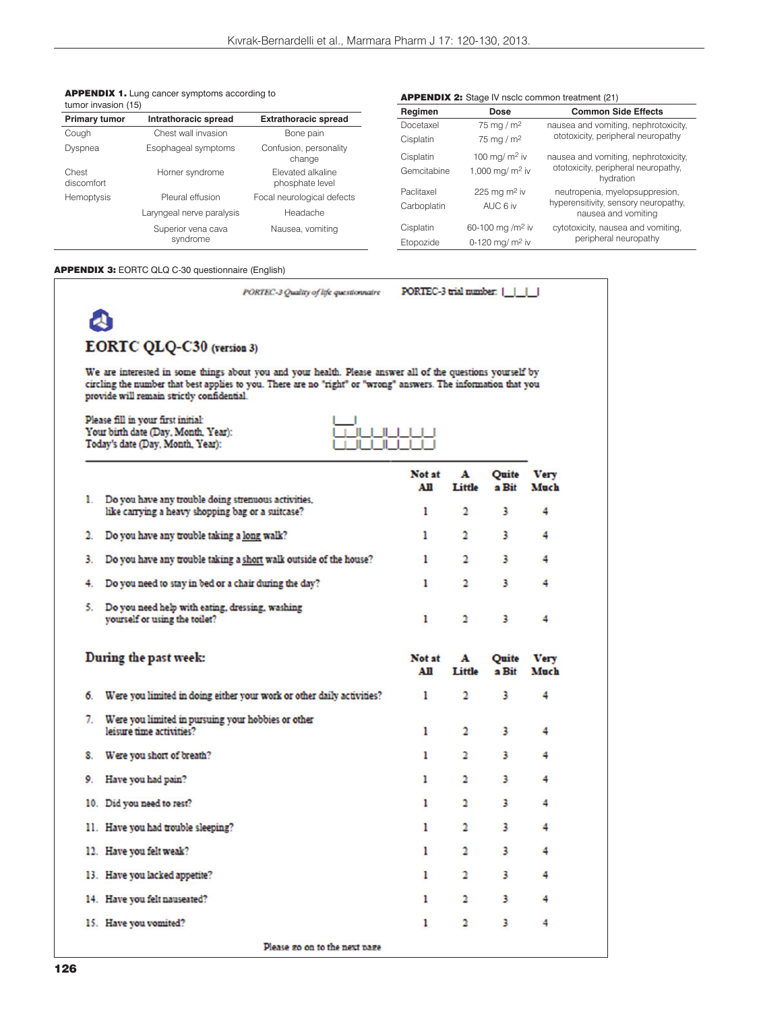| Drimory tumor       | Intrathoracic enroad                                 | Evtratho |
|---------------------|------------------------------------------------------|----------|
| tumor invasion (15) |                                                      |          |
|                     | <b>APPENDIX 1.</b> Lung cancer symptoms according to |          |

| <b>Primary tumor</b> | Intrathoracic spread      | <b>Extrathoracic spread</b>          | Doce   |
|----------------------|---------------------------|--------------------------------------|--------|
| Cough                | Chest wall invasion       | Bone pain                            | Cispla |
| Dyspnea              | Esophageal symptoms       | Confusion, personality<br>change     | Cispla |
| Chest<br>discomfort  | Horner syndrome           | Elevated alkaline<br>phosphate level | Gemo   |
| Hemoptysis           | Pleural effusion          | Focal neurological defects           | Paclit |
|                      | Laryngeal nerve paralysis | Headache                             | Carbo  |
|                      | Superior vena cava        | Nausea, vomiting                     | Cispla |
|                      | syndrome                  |                                      | Etopo  |

#### **APPENDIX 2:** Stage IV nsclc common treatment (21)

| Regimen     | Dose                         | <b>Common Side Effects</b>                                  |
|-------------|------------------------------|-------------------------------------------------------------|
| Docetaxel   | 75 mg / $m2$                 | nausea and vomiting, nephrotoxicity,                        |
| Cisplatin   | 75 mg / $m2$                 | ototoxicity, peripheral neuropathy                          |
| Cisplatin   | 100 mg/m <sup>2</sup> iv     | nausea and vomiting, nephrotoxicity,                        |
| Gemcitabine | 1,000 mg/ m <sup>2</sup> iv  | ototoxicity, peripheral neuropathy,<br>hydration            |
| Paclitaxel  | 225 mg m <sup>2</sup> iv     | neutropenia, myelopsuppresion,                              |
| Carboplatin | AUC 6 iv                     | hyperensitivity, sensory neuropathy,<br>nausea and vomiting |
| Cisplatin   | 60-100 mg /m <sup>2</sup> iv | cytotoxicity, nausea and vomiting,                          |
| Etopozide   | 0-120 mg/ $m2$ iv            | peripheral neuropathy                                       |

#### APPENDIX 3: EORTC QLQ C-30 questionnaire (English)

|    | PORTEC-3 Quality of life questionnaire                                                                                                                                                                                                                                      | PORTEC-3 trial number: |                         |                         |                     |
|----|-----------------------------------------------------------------------------------------------------------------------------------------------------------------------------------------------------------------------------------------------------------------------------|------------------------|-------------------------|-------------------------|---------------------|
|    |                                                                                                                                                                                                                                                                             |                        |                         |                         |                     |
|    | EORTC QLQ-C30 (version 3)                                                                                                                                                                                                                                                   |                        |                         |                         |                     |
|    | We are interested in some things about you and your health. Please answer all of the questions yourself by<br>circling the number that best applies to you. There are no "right" or "wrong" answers. The information that you<br>provide will remain strictly confidential. |                        |                         |                         |                     |
|    | Please fill in your first initial:<br>Your birth date (Day, Month, Year):<br>Today's date (Day, Month, Year):<br>Ш                                                                                                                                                          |                        |                         |                         |                     |
|    |                                                                                                                                                                                                                                                                             | Not at<br>All          | A<br>Little             | Quite<br>a Bit          | <b>Very</b><br>Much |
| 1. | Do you have any trouble doing strenuous activities,<br>like carrying a heavy shopping bag or a suitcase?                                                                                                                                                                    | ı                      | 2                       | 3                       | 4                   |
| 2. | Do you have any trouble taking a long walk?                                                                                                                                                                                                                                 | ı                      | 2                       | 3                       | 4                   |
| 3. | Do you have any trouble taking a short walk outside of the house?                                                                                                                                                                                                           | ı                      | 2                       | 3                       | 4                   |
| 4. | Do you need to stay in bed or a chair during the day?                                                                                                                                                                                                                       | ı                      | 2                       | 3                       | 4                   |
| 5. | Do you need help with eating, dressing, washing<br>yourself or using the toilet?                                                                                                                                                                                            | ı                      | 2                       | 3                       | 4                   |
|    | During the past week:                                                                                                                                                                                                                                                       | Not at<br>AШ           | A<br>Little             | Quite<br>a Bit          | <b>Very</b><br>Much |
| 6. | Were you limited in doing either your work or other daily activities?                                                                                                                                                                                                       | ı                      | 2                       | 3                       | 4                   |
| 7. | Were you limited in pursuing your hobbies or other<br>leisure time activities?                                                                                                                                                                                              | ı                      | 2                       | 3                       | 4                   |
| 8. | Were you short of breath?                                                                                                                                                                                                                                                   | ı                      | 2                       | 3                       | 4                   |
| 9. | Have you had pain?                                                                                                                                                                                                                                                          | ı                      | 2                       | 3                       | 4                   |
|    | 10. Did you need to rest?                                                                                                                                                                                                                                                   | ı                      | 2                       | 3                       | 4                   |
|    | 11. Have you had trouble sleeping?                                                                                                                                                                                                                                          | ı                      | 2                       | 3                       | 4                   |
|    | 12. Have you felt weak?                                                                                                                                                                                                                                                     | ı                      | 2                       | 3                       | 4                   |
|    | 13. Have you lacked appetite?                                                                                                                                                                                                                                               | ı                      | 2                       | 3                       | 4                   |
|    | 14. Have you felt nauseated?                                                                                                                                                                                                                                                | ı                      | $\mathbf{2}$            | $\overline{\mathbf{3}}$ | 4                   |
|    | 15. Have you vomited?                                                                                                                                                                                                                                                       | 1                      | $\overline{\mathbf{2}}$ | 3                       | 4                   |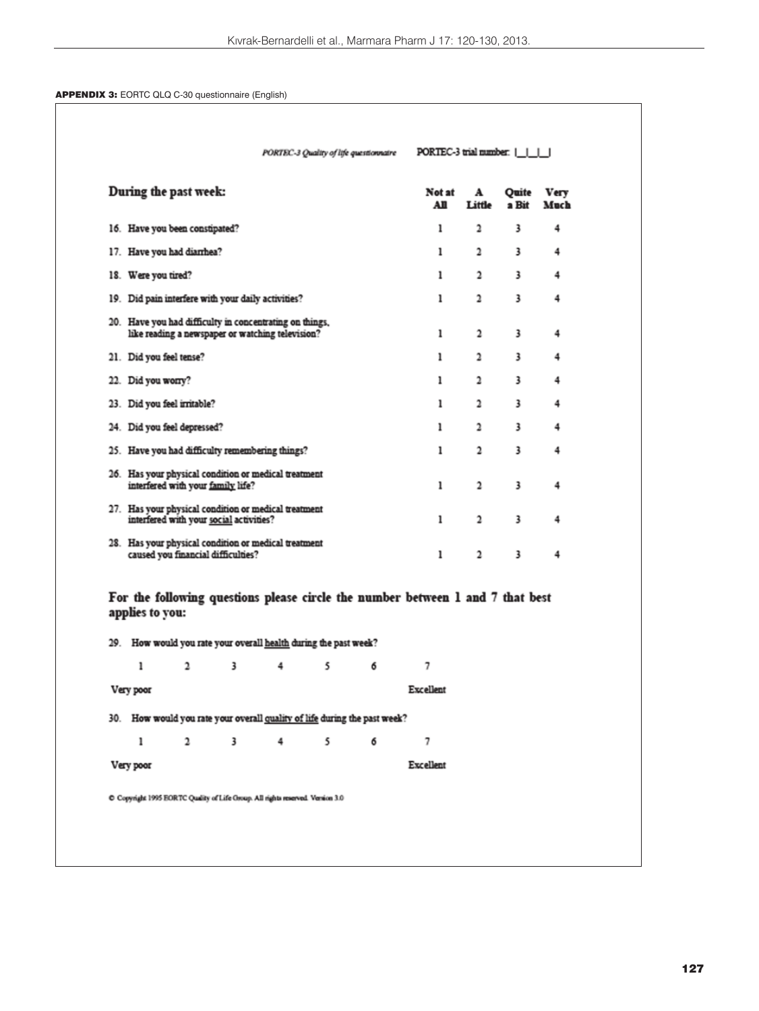# APPENDIX 3: EORTC QLQ C-30 questionnaire (English)

|                                | During the past week: |                                         |                                                                                                             |                                                                           |   | Not at<br>AШ                                                                        | ${\bf A}$<br>Little     | Quite<br>a Bit | <b>Very</b><br>Much |
|--------------------------------|-----------------------|-----------------------------------------|-------------------------------------------------------------------------------------------------------------|---------------------------------------------------------------------------|---|-------------------------------------------------------------------------------------|-------------------------|----------------|---------------------|
| 16. Have you been constipated? |                       |                                         |                                                                                                             |                                                                           |   | ı                                                                                   | 2                       | 3              | 4                   |
| 17. Have you had diarrhea?     |                       |                                         |                                                                                                             |                                                                           |   | ı                                                                                   | $\overline{a}$          | 3              | 4                   |
| 18. Were you tired?            |                       |                                         |                                                                                                             |                                                                           |   | ı                                                                                   | $\overline{\mathbf{c}}$ | 3              | 4                   |
|                                |                       |                                         | 19. Did pain interfere with your daily activities?                                                          |                                                                           |   | ı                                                                                   | $\overline{\mathbf{2}}$ | 3              | 4                   |
|                                |                       |                                         | 20. Have you had difficulty in concentrating on things,<br>like reading a newspaper or watching television? |                                                                           |   | ı                                                                                   | $\overline{\mathbf{c}}$ | 3              | 4                   |
| 21. Did you feel tense?        |                       |                                         |                                                                                                             |                                                                           |   | ı                                                                                   | 2                       | 3              | 4                   |
| 22. Did you worry?             |                       |                                         |                                                                                                             |                                                                           |   | ı                                                                                   | $\overline{a}$          | 3              | 4                   |
| 23. Did you feel irritable?    |                       |                                         |                                                                                                             |                                                                           |   | ı                                                                                   | $\overline{a}$          | 3              | 4                   |
| 24. Did you feel depressed?    |                       |                                         |                                                                                                             |                                                                           |   | ı                                                                                   | 2                       | 3              | 4                   |
|                                |                       |                                         | 25. Have you had difficulty remembering things?                                                             |                                                                           |   | ı                                                                                   | $\overline{\mathbf{c}}$ | 3              | 4                   |
|                                |                       | interfered with your family life?       | 26. Has your physical condition or medical treatment                                                        |                                                                           |   | ı                                                                                   | $\overline{\mathbf{c}}$ | 3              | 4                   |
|                                |                       | interfered with your social activities? | 27. Has your physical condition or medical treatment                                                        |                                                                           |   | ı                                                                                   | 2                       | 3              | 4                   |
|                                |                       | caused you financial difficulties?      | 28. Has your physical condition or medical treatment                                                        |                                                                           |   | ı                                                                                   | $\overline{\mathbf{c}}$ | 3              | 4                   |
| applies to you:<br>ı           | 2                     | 3                                       | 4                                                                                                           | 29. How would you rate your overall health during the past week?<br>5     | 6 | For the following questions please circle the number between 1 and 7 that best<br>7 |                         |                |                     |
| Very poor                      |                       |                                         |                                                                                                             |                                                                           |   | Excellent                                                                           |                         |                |                     |
|                                |                       |                                         |                                                                                                             | 30. How would you rate your overall quality of life during the past week? |   |                                                                                     |                         |                |                     |
|                                |                       |                                         |                                                                                                             | 5                                                                         |   |                                                                                     |                         |                |                     |
| ı<br>Very poor                 | 2                     | 3                                       | 4                                                                                                           |                                                                           | 6 | 7<br>Excellent                                                                      |                         |                |                     |
|                                |                       |                                         |                                                                                                             |                                                                           |   |                                                                                     |                         |                |                     |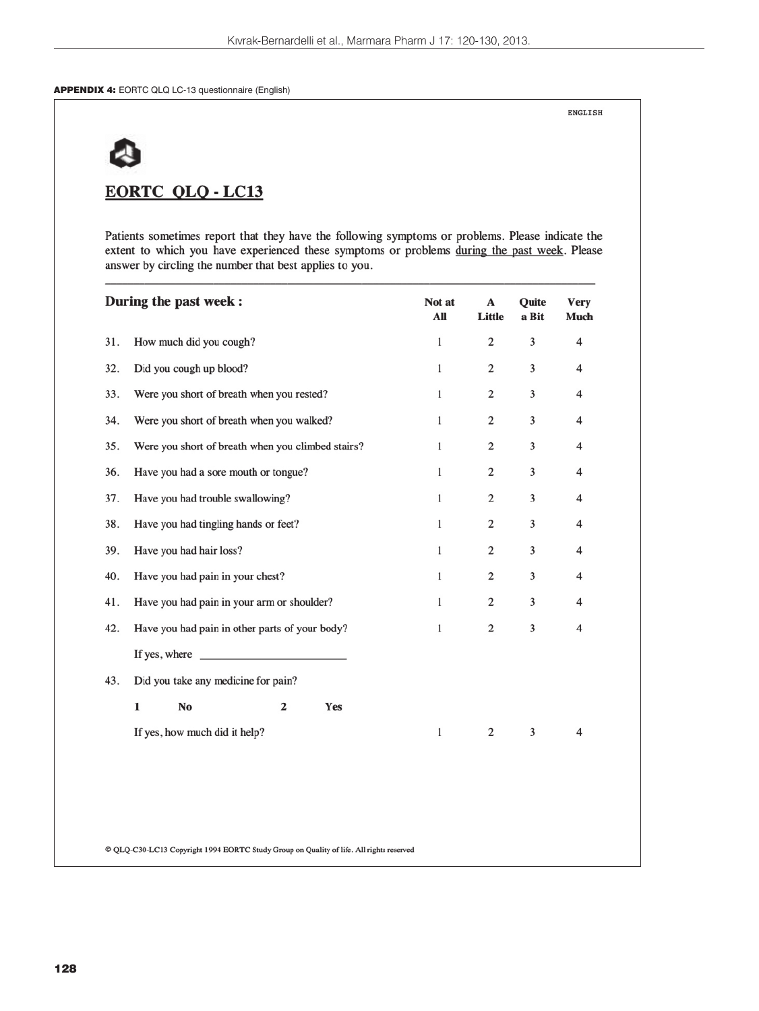APPENDIX 4: EORTC QLQ LC-13 questionnaire (English)

**ENGLISH** 

# **EORTC QLQ - LC13**

Patients sometimes report that they have the following symptoms or problems. Please indicate the extent to which you have experienced these symptoms or problems during the past week. Please answer by circling the number that best applies to you.

|     | During the past week :                                                                                                                                                                                                               | Not at<br>All | A<br>Little    | Quite<br>a Bit | <b>Very</b><br><b>Much</b> |
|-----|--------------------------------------------------------------------------------------------------------------------------------------------------------------------------------------------------------------------------------------|---------------|----------------|----------------|----------------------------|
| 31. | How much did you cough?                                                                                                                                                                                                              | $\mathbf 1$   | $\overline{c}$ | 3              | $\overline{\mathbf{4}}$    |
| 32. | Did you cough up blood?                                                                                                                                                                                                              | $\mathbf{1}$  | 2              | 3              | 4                          |
| 33. | Were you short of breath when you rested?                                                                                                                                                                                            | $\mathbf{1}$  | 2              | 3              | 4                          |
| 34. | Were you short of breath when you walked?                                                                                                                                                                                            | $\mathbf{1}$  | $\overline{c}$ | 3              | $\overline{4}$             |
| 35. | Were you short of breath when you climbed stairs?                                                                                                                                                                                    | $\mathbf{1}$  | 2              | 3              | 4                          |
| 36. | Have you had a sore mouth or tongue?                                                                                                                                                                                                 | $\mathbf{1}$  | $\mathbf{2}$   | 3              | 4                          |
| 37. | Have you had trouble swallowing?                                                                                                                                                                                                     | $\mathbf 1$   | $\mathbf{2}$   | 3              | $\overline{4}$             |
| 38. | Have you had tingling hands or feet?                                                                                                                                                                                                 | $\mathbf{1}$  | 2              | 3              | 4                          |
| 39. | Have you had hair loss?                                                                                                                                                                                                              | $\mathbf{1}$  | 2              | 3              | $\overline{4}$             |
| 40. | Have you had pain in your chest?                                                                                                                                                                                                     | $\mathbf 1$   | $\mathbf{2}$   | 3              | 4                          |
| 41. | Have you had pain in your arm or shoulder?                                                                                                                                                                                           | $\mathbf{1}$  | $\overline{c}$ | 3              | $\overline{4}$             |
| 42. | Have you had pain in other parts of your body?                                                                                                                                                                                       | $\mathbf{1}$  | 2              | 3              | 4                          |
|     | If yes, where <b>we are all the set of the set of the set of the set of the set of the set of the set of the set of the set of the set of the set of the set of the set of the set of the set of the set of the set of the set o</b> |               |                |                |                            |
| 43. | Did you take any medicine for pain?                                                                                                                                                                                                  |               |                |                |                            |
|     | $\mathbf{1}$<br>No<br>$\overline{2}$<br>Yes                                                                                                                                                                                          |               |                |                |                            |
|     | If yes, how much did it help?                                                                                                                                                                                                        | $\mathbf 1$   | $\overline{c}$ | 3              | 4                          |
|     |                                                                                                                                                                                                                                      |               |                |                |                            |
|     |                                                                                                                                                                                                                                      |               |                |                |                            |
|     |                                                                                                                                                                                                                                      |               |                |                |                            |
|     | © QLQ-C30-LC13 Copyright 1994 EORTC Study Group on Quality of life. All rights reserved                                                                                                                                              |               |                |                |                            |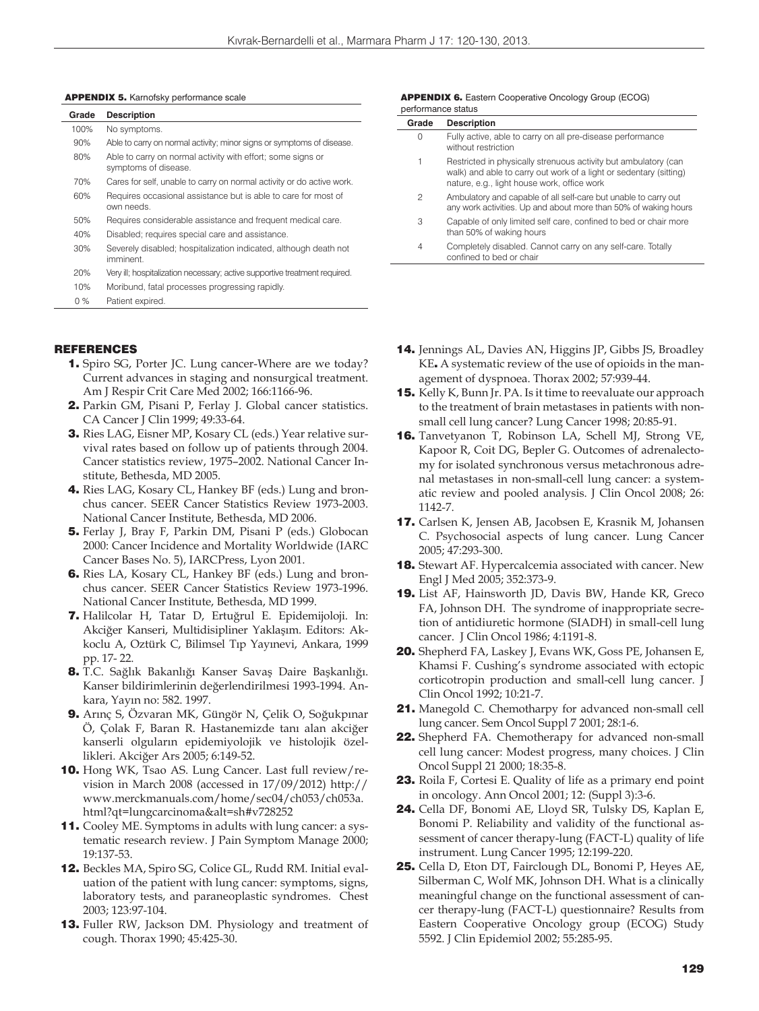#### APPENDIX 5. Karnofsky performance scale

| Grade | <b>Description</b>                                                                  |
|-------|-------------------------------------------------------------------------------------|
| 100%  | No symptoms.                                                                        |
| 90%   | Able to carry on normal activity; minor signs or symptoms of disease.               |
| 80%   | Able to carry on normal activity with effort; some signs or<br>symptoms of disease. |
| 70%   | Cares for self, unable to carry on normal activity or do active work.               |
| 60%   | Requires occasional assistance but is able to care for most of<br>own needs.        |
| 50%   | Requires considerable assistance and frequent medical care.                         |
| 40%   | Disabled; requires special care and assistance.                                     |
| 30%   | Severely disabled; hospitalization indicated, although death not<br>imminent        |
| 20%   | Very ill; hospitalization necessary; active supportive treatment required.          |
| 10%   | Moribund, fatal processes progressing rapidly.                                      |
| $0\%$ | Patient expired.                                                                    |

#### REFERENCES

- 1. Spiro SG, Porter JC. Lung cancer-Where are we today? Current advances in staging and nonsurgical treatment. Am J Respir Crit Care Med 2002; 166:1166-96.
- 2. Parkin GM, Pisani P, Ferlay J. Global cancer statistics. CA Cancer J Clin 1999; 49:33-64.
- 3. Ries LAG, Eisner MP, Kosary CL (eds.) Year relative survival rates based on follow up of patients through 2004. Cancer statistics review, 1975–2002. National Cancer Institute, Bethesda, MD 2005.
- 4. Ries LAG, Kosary CL, Hankey BF (eds.) Lung and bronchus cancer. SEER Cancer Statistics Review 1973-2003. National Cancer Institute, Bethesda, MD 2006.
- 5. Ferlay J, Bray F, Parkin DM, Pisani P (eds.) Globocan 2000: Cancer Incidence and Mortality Worldwide (IARC Cancer Bases No. 5), IARCPress, Lyon 2001.
- 6. Ries LA, Kosary CL, Hankey BF (eds.) Lung and bronchus cancer. SEER Cancer Statistics Review 1973-1996. National Cancer Institute, Bethesda, MD 1999.
- 7. Halilcolar H, Tatar D, Ertuğrul E. Epidemijoloji. In: Akciğer Kanseri, Multidisipliner Yaklaşım. Editors: Akkoclu A, Oztürk C, Bilimsel Tıp Yayınevi, Ankara, 1999 pp. 17- 22.
- 8. T.C. Sağlık Bakanlığı Kanser Savaş Daire Başkanlığı. Kanser bildirimlerinin değerlendirilmesi 1993-1994. Ankara, Yayın no: 582. 1997.
- 9. Arınç S, Özvaran MK, Güngör N, Çelik O, Soğukpınar Ö, Çolak F, Baran R. Hastanemizde tanı alan akciğer kanserli olguların epidemiyolojik ve histolojik özellikleri. Akciğer Ars 2005; 6:149-52.
- **10.** Hong WK, Tsao AS. Lung Cancer. Last full review/revision in March 2008 (accessed in 17/09/2012) http:// www.merckmanuals.com/home/sec04/ch053/ch053a. html?qt=lungcarcinoma&alt=sh#v728252
- 11. Cooley ME. Symptoms in adults with lung cancer: a systematic research review. J Pain Symptom Manage 2000; 19:137-53.
- 12. Beckles MA, Spiro SG, Colice GL, Rudd RM. Initial evaluation of the patient with lung cancer: symptoms, signs, laboratory tests, and paraneoplastic syndromes. Chest 2003; 123:97-104.
- 13. Fuller RW, Jackson DM. Physiology and treatment of cough. Thorax 1990; 45:425-30.

#### **APPENDIX 6.** Eastern Cooperative Oncology Group (ECOG) performance status

| Grade          | <b>Description</b>                                                                                                                                                                   |
|----------------|--------------------------------------------------------------------------------------------------------------------------------------------------------------------------------------|
| 0              | Fully active, able to carry on all pre-disease performance<br>without restriction                                                                                                    |
| 1              | Restricted in physically strenuous activity but ambulatory (can<br>walk) and able to carry out work of a light or sedentary (sitting)<br>nature, e.g., light house work, office work |
| 2              | Ambulatory and capable of all self-care but unable to carry out<br>any work activities. Up and about more than 50% of waking hours                                                   |
| 3              | Capable of only limited self care, confined to bed or chair more<br>than 50% of waking hours                                                                                         |
| $\overline{4}$ | Completely disabled. Cannot carry on any self-care. Totally<br>confined to bed or chair                                                                                              |

- 14. Jennings AL, Davies AN, Higgins JP, Gibbs JS, Broadley KE. A systematic review of the use of opioids in the management of dyspnoea. Thorax 2002; 57:939-44.
- 15. Kelly K, Bunn Jr. PA. Is it time to reevaluate our approach to the treatment of brain metastases in patients with nonsmall cell lung cancer? Lung Cancer 1998; 20:85-91.
- 16. Tanvetyanon T, Robinson LA, Schell MJ, Strong VE, Kapoor R, Coit DG, Bepler G. Outcomes of adrenalectomy for isolated synchronous versus metachronous adrenal metastases in non-small-cell lung cancer: a systematic review and pooled analysis. J Clin Oncol 2008; 26: 1142-7.
- 17. Carlsen K, Jensen AB, Jacobsen E, Krasnik M, Johansen C. Psychosocial aspects of lung cancer. Lung Cancer 2005; 47:293-300.
- **18.** Stewart AF. Hypercalcemia associated with cancer. New Engl J Med 2005; 352:373-9.
- 19. List AF, Hainsworth JD, Davis BW, Hande KR, Greco FA, Johnson DH. The syndrome of inappropriate secretion of antidiuretic hormone (SIADH) in small-cell lung cancer. J Clin Oncol 1986; 4:1191-8.
- 20. Shepherd FA, Laskey J, Evans WK, Goss PE, Johansen E, Khamsi F. Cushing's syndrome associated with ectopic corticotropin production and small-cell lung cancer. J Clin Oncol 1992; 10:21-7.
- 21. Manegold C. Chemotharpy for advanced non-small cell lung cancer. Sem Oncol Suppl 7 2001; 28:1-6.
- 22. Shepherd FA. Chemotherapy for advanced non-small cell lung cancer: Modest progress, many choices. J Clin Oncol Suppl 21 2000; 18:35-8.
- 23. Roila F, Cortesi E. Quality of life as a primary end point in oncology. Ann Oncol 2001; 12: (Suppl 3):3-6.
- 24. Cella DF, Bonomi AE, Lloyd SR, Tulsky DS, Kaplan E, Bonomi P. Reliability and validity of the functional assessment of cancer therapy-lung (FACT-L) quality of life instrument. Lung Cancer 1995; 12:199-220.
- 25. Cella D, Eton DT, Fairclough DL, Bonomi P, Heyes AE, Silberman C, Wolf MK, Johnson DH. What is a clinically meaningful change on the functional assessment of cancer therapy-lung (FACT-L) questionnaire? Results from Eastern Cooperative Oncology group (ECOG) Study 5592. J Clin Epidemiol 2002; 55:285-95.